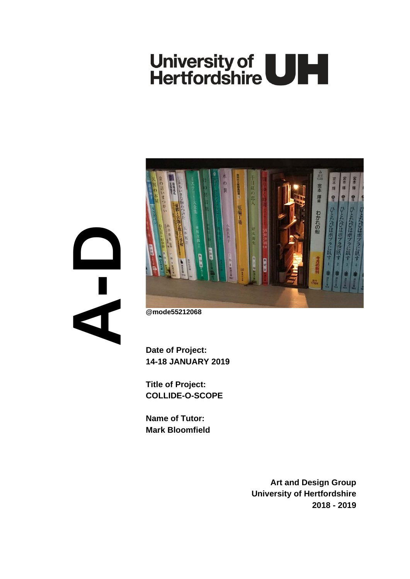# University of **ULL**<br>Hertfordshire

**A- D**

宮本 輝星 わかれの船

**@mode55212068**

**Date of Project: 14-18 JANUARY 2019**

**Title of Project: COLLIDE-O-SCOPE**

**Name of Tutor: Mark Bloomfield**

> **Art and Design Group University of Hertfordshire 2018 - 2019**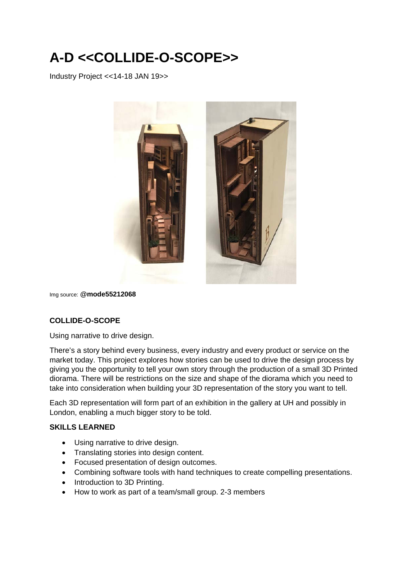# **A-D <<COLLIDE-O-SCOPE>>**

Industry Project <<14-18 JAN 19>>



Img source: **@mode55212068**

## **COLLIDE-O-SCOPE**

Using narrative to drive design.

There's a story behind every business, every industry and every product or service on the market today. This project explores how stories can be used to drive the design process by giving you the opportunity to tell your own story through the production of a small 3D Printed diorama. There will be restrictions on the size and shape of the diorama which you need to take into consideration when building your 3D representation of the story you want to tell.

Each 3D representation will form part of an exhibition in the gallery at UH and possibly in London, enabling a much bigger story to be told.

#### **SKILLS LEARNED**

- Using narrative to drive design.
- Translating stories into design content.
- Focused presentation of design outcomes.
- Combining software tools with hand techniques to create compelling presentations.
- Introduction to 3D Printing.
- How to work as part of a team/small group. 2-3 members